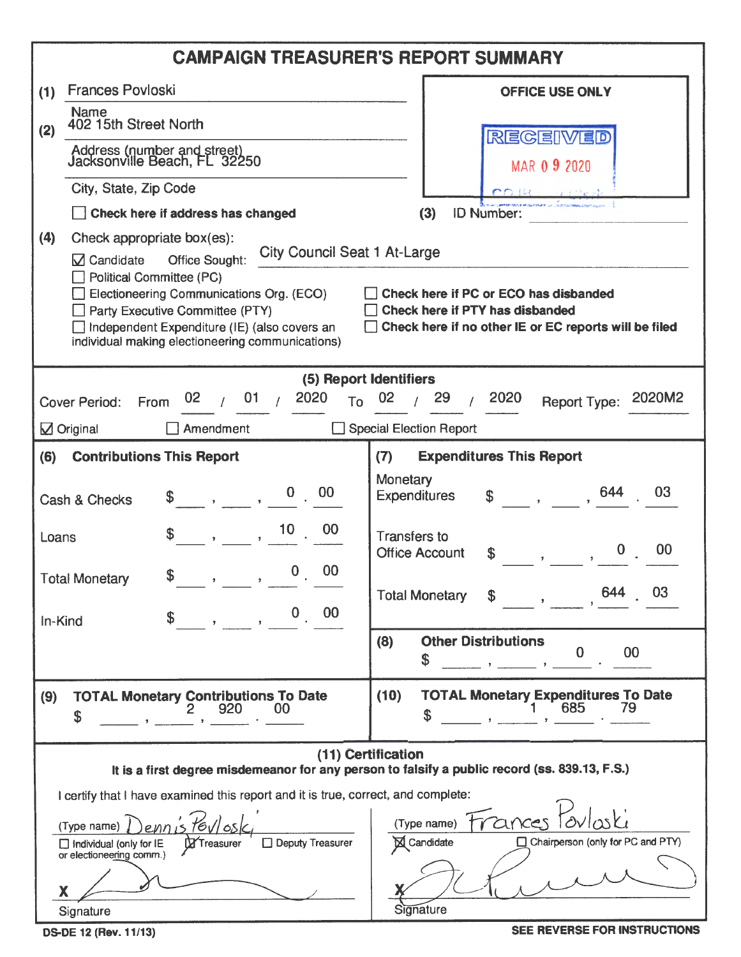| <b>Frances Povloski</b><br><b>OFFICE USE ONLY</b><br>(1)<br><b>Name</b><br>402 15th Street North<br>(2)<br>REGEIVED<br>Address (number and street)<br>Jacksonville Beach, FL 32250<br>MAR 0 9 2020<br>City, State, Zip Code<br><b>COLLE</b><br>.<br>L <b>adi 21 Li 27 li 18 li 19</b> li 19 li 19 li 19 li 19 li 19 li 19 li 19 li 19 li 19 li 19 li 19 li 19 li 19 li 19 l<br>Check here if address has changed<br><b>ID Number:</b><br>(3)<br>(4)<br>Check appropriate box(es):<br><b>City Council Seat 1 At-Large</b><br>$\boxtimes$ Candidate<br>Office Sought:<br><b>Political Committee (PC)</b><br>Electioneering Communications Org. (ECO)<br>Check here if PC or ECO has disbanded<br>Party Executive Committee (PTY)<br>Check here if PTY has disbanded<br>Independent Expenditure (IE) (also covers an<br>Check here if no other IE or EC reports will be filed<br>individual making electioneering communications)<br>(5) Report Identifiers<br>01/<br>2020<br>29<br>2020<br>2020M2<br>02 <sub>2</sub><br>$T0$ 02<br>Report Type:<br><b>Cover Period:</b><br>From<br>$\sqrt{ }$ Original<br>Special Election Report<br>Amendment<br><b>Expenditures This Report</b><br><b>Contributions This Report</b><br>(7)<br>(6)<br>Monetary<br>644<br>03<br>$0 \t 00$<br><b>Expenditures</b><br>$\mathbf{\$}$<br>Cash & Checks<br>$, 10$ 00<br>\$<br><b>Transfers to</b><br>Loans<br>00<br><b>Office Account</b><br>\$<br>00<br>$\mathbf{0}$<br>\$<br><b>Total Monetary</b><br>$\,$<br>$\mathcal{F}$<br>03<br><b>Total Monetary</b><br>$0 \t 00$<br>In-Kind<br><b>Other Distributions</b><br>(8)<br>00<br>\$<br><b>TOTAL Monetary Expenditures To Date</b><br>(10)<br><b>TOTAL Monetary Contributions To Date</b><br>(9)<br>685<br>79<br>920<br>00<br>\$<br>(11) Certification<br>It is a first degree misdemeanor for any person to falsify a public record (ss. 839.13, F.S.)<br>I certify that I have examined this report and it is true, correct, and complete:<br>Frances<br>(Type name)<br>$16\sqrt{65}$<br>(Type name)<br>$\boxtimes$ Candidate<br>Chairperson (only for PC and PTY)<br>Deputy Treasurer<br>$\Box$ Individual (only for IE<br><b>X</b> Treasurer<br>or electioneering comm.)<br>Signature<br>Signature | <b>CAMPAIGN TREASURER'S REPORT SUMMARY</b> |
|----------------------------------------------------------------------------------------------------------------------------------------------------------------------------------------------------------------------------------------------------------------------------------------------------------------------------------------------------------------------------------------------------------------------------------------------------------------------------------------------------------------------------------------------------------------------------------------------------------------------------------------------------------------------------------------------------------------------------------------------------------------------------------------------------------------------------------------------------------------------------------------------------------------------------------------------------------------------------------------------------------------------------------------------------------------------------------------------------------------------------------------------------------------------------------------------------------------------------------------------------------------------------------------------------------------------------------------------------------------------------------------------------------------------------------------------------------------------------------------------------------------------------------------------------------------------------------------------------------------------------------------------------------------------------------------------------------------------------------------------------------------------------------------------------------------------------------------------------------------------------------------------------------------------------------------------------------------------------------------------------------------------------------------------------------------------------------------------------------------------------------------------------------------------------------------------------------------------------------|--------------------------------------------|
|                                                                                                                                                                                                                                                                                                                                                                                                                                                                                                                                                                                                                                                                                                                                                                                                                                                                                                                                                                                                                                                                                                                                                                                                                                                                                                                                                                                                                                                                                                                                                                                                                                                                                                                                                                                                                                                                                                                                                                                                                                                                                                                                                                                                                                  |                                            |
|                                                                                                                                                                                                                                                                                                                                                                                                                                                                                                                                                                                                                                                                                                                                                                                                                                                                                                                                                                                                                                                                                                                                                                                                                                                                                                                                                                                                                                                                                                                                                                                                                                                                                                                                                                                                                                                                                                                                                                                                                                                                                                                                                                                                                                  |                                            |
|                                                                                                                                                                                                                                                                                                                                                                                                                                                                                                                                                                                                                                                                                                                                                                                                                                                                                                                                                                                                                                                                                                                                                                                                                                                                                                                                                                                                                                                                                                                                                                                                                                                                                                                                                                                                                                                                                                                                                                                                                                                                                                                                                                                                                                  |                                            |
|                                                                                                                                                                                                                                                                                                                                                                                                                                                                                                                                                                                                                                                                                                                                                                                                                                                                                                                                                                                                                                                                                                                                                                                                                                                                                                                                                                                                                                                                                                                                                                                                                                                                                                                                                                                                                                                                                                                                                                                                                                                                                                                                                                                                                                  |                                            |
|                                                                                                                                                                                                                                                                                                                                                                                                                                                                                                                                                                                                                                                                                                                                                                                                                                                                                                                                                                                                                                                                                                                                                                                                                                                                                                                                                                                                                                                                                                                                                                                                                                                                                                                                                                                                                                                                                                                                                                                                                                                                                                                                                                                                                                  |                                            |
|                                                                                                                                                                                                                                                                                                                                                                                                                                                                                                                                                                                                                                                                                                                                                                                                                                                                                                                                                                                                                                                                                                                                                                                                                                                                                                                                                                                                                                                                                                                                                                                                                                                                                                                                                                                                                                                                                                                                                                                                                                                                                                                                                                                                                                  |                                            |
|                                                                                                                                                                                                                                                                                                                                                                                                                                                                                                                                                                                                                                                                                                                                                                                                                                                                                                                                                                                                                                                                                                                                                                                                                                                                                                                                                                                                                                                                                                                                                                                                                                                                                                                                                                                                                                                                                                                                                                                                                                                                                                                                                                                                                                  |                                            |
|                                                                                                                                                                                                                                                                                                                                                                                                                                                                                                                                                                                                                                                                                                                                                                                                                                                                                                                                                                                                                                                                                                                                                                                                                                                                                                                                                                                                                                                                                                                                                                                                                                                                                                                                                                                                                                                                                                                                                                                                                                                                                                                                                                                                                                  |                                            |
|                                                                                                                                                                                                                                                                                                                                                                                                                                                                                                                                                                                                                                                                                                                                                                                                                                                                                                                                                                                                                                                                                                                                                                                                                                                                                                                                                                                                                                                                                                                                                                                                                                                                                                                                                                                                                                                                                                                                                                                                                                                                                                                                                                                                                                  |                                            |
|                                                                                                                                                                                                                                                                                                                                                                                                                                                                                                                                                                                                                                                                                                                                                                                                                                                                                                                                                                                                                                                                                                                                                                                                                                                                                                                                                                                                                                                                                                                                                                                                                                                                                                                                                                                                                                                                                                                                                                                                                                                                                                                                                                                                                                  |                                            |
|                                                                                                                                                                                                                                                                                                                                                                                                                                                                                                                                                                                                                                                                                                                                                                                                                                                                                                                                                                                                                                                                                                                                                                                                                                                                                                                                                                                                                                                                                                                                                                                                                                                                                                                                                                                                                                                                                                                                                                                                                                                                                                                                                                                                                                  |                                            |
|                                                                                                                                                                                                                                                                                                                                                                                                                                                                                                                                                                                                                                                                                                                                                                                                                                                                                                                                                                                                                                                                                                                                                                                                                                                                                                                                                                                                                                                                                                                                                                                                                                                                                                                                                                                                                                                                                                                                                                                                                                                                                                                                                                                                                                  |                                            |
|                                                                                                                                                                                                                                                                                                                                                                                                                                                                                                                                                                                                                                                                                                                                                                                                                                                                                                                                                                                                                                                                                                                                                                                                                                                                                                                                                                                                                                                                                                                                                                                                                                                                                                                                                                                                                                                                                                                                                                                                                                                                                                                                                                                                                                  |                                            |
|                                                                                                                                                                                                                                                                                                                                                                                                                                                                                                                                                                                                                                                                                                                                                                                                                                                                                                                                                                                                                                                                                                                                                                                                                                                                                                                                                                                                                                                                                                                                                                                                                                                                                                                                                                                                                                                                                                                                                                                                                                                                                                                                                                                                                                  |                                            |
|                                                                                                                                                                                                                                                                                                                                                                                                                                                                                                                                                                                                                                                                                                                                                                                                                                                                                                                                                                                                                                                                                                                                                                                                                                                                                                                                                                                                                                                                                                                                                                                                                                                                                                                                                                                                                                                                                                                                                                                                                                                                                                                                                                                                                                  |                                            |
|                                                                                                                                                                                                                                                                                                                                                                                                                                                                                                                                                                                                                                                                                                                                                                                                                                                                                                                                                                                                                                                                                                                                                                                                                                                                                                                                                                                                                                                                                                                                                                                                                                                                                                                                                                                                                                                                                                                                                                                                                                                                                                                                                                                                                                  |                                            |

OS-DE 12 (Rev. 11/13)

SEE REVERSE FOR INSTRUCTIONS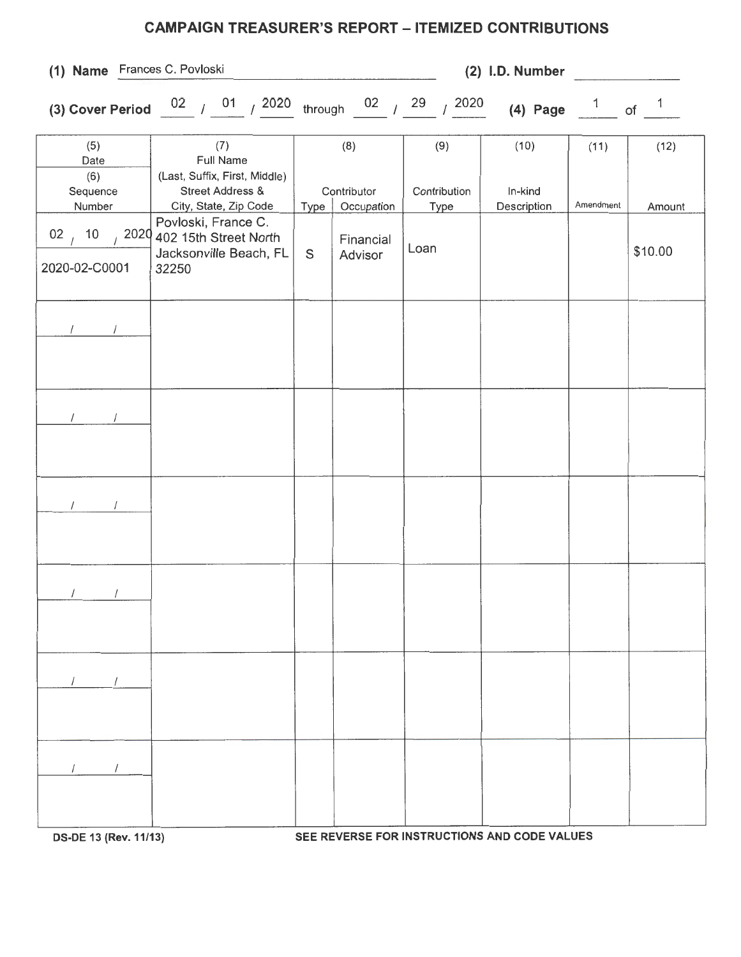## **CAMPAIGN TREASURER'S REPORT - ITEMIZED CONTRIBUTIONS**

**(1) Name** Frances C. Povloski **(2) 1.0. Number** 

|                                        | (3) Cover Period $\frac{02}{1}$ / $\frac{01}{1}$ / 2020 through $\frac{02}{1}$ / 29 / 2020 |      |                           |                             | (4) Page $\frac{1}{1}$ of |           | $\mathbf{1}$ |
|----------------------------------------|--------------------------------------------------------------------------------------------|------|---------------------------|-----------------------------|---------------------------|-----------|--------------|
| (5)<br>Date<br>(6)                     | (7)<br>Full Name<br>(Last, Suffix, First, Middle)                                          |      | (8)                       | (9)                         | (10)                      | (11)      | (12)         |
| Sequence<br>Number                     | Street Address &<br>City, State, Zip Code                                                  | Type | Contributor<br>Occupation | Contribution<br><b>Type</b> | In-kind<br>Description    | Amendment | Amount       |
| 10<br>02 <sub>1</sub><br>2020-02-C0001 | Povloski, France C.<br>2020 402 15th Street North<br>Jacksonville Beach, FL<br>32250       | S    | Financial<br>Advisor      | Loan                        |                           |           | \$10.00      |
| $\sqrt{2}$<br>$\sqrt{2}$               |                                                                                            |      |                           |                             |                           |           |              |
|                                        |                                                                                            |      |                           |                             |                           |           |              |
|                                        |                                                                                            |      |                           |                             |                           |           |              |
| $\sqrt{2}$                             |                                                                                            |      |                           |                             |                           |           |              |
|                                        |                                                                                            |      |                           |                             |                           |           |              |
|                                        |                                                                                            |      |                           |                             |                           |           |              |

**OS-DE 13 (Rev. 11/13) SEE REVERSE FOR INSTRUCTIONS AND CODE VALUES**